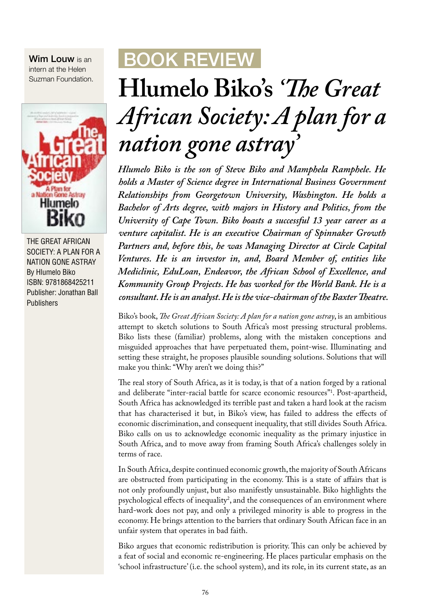Wim Louw is an intern at the Helen Suzman Foundation.



THE GREAT AFRICAN SOCIETY: A PLAN FOR A NATION GONE ASTRAY By Hlumelo Biko ISBN: 9781868425211 Publisher: Jonathan Ball Publishers

## BOOK REVIEW

## **Hlumelo Biko's** *'!e Great African Society: A plan for a nation gone astray'*

*Hlumelo Biko is the son of Steve Biko and Mamphela Ramphele. He holds a Master of Science degree in International Business Government Relationships from Georgetown University, Washington. He holds a Bachelor of Arts degree, with majors in History and Politics, from the University of Cape Town. Biko boasts a successful 13 year career as a venture capitalist. He is an executive Chairman of Spinnaker Growth Partners and, before this, he was Managing Director at Circle Capital Ventures. He is an investor in, and, Board Member of, entities like Mediclinic, EduLoan, Endeavor, the African School of Excellence, and Kommunity Group Projects. He has worked for the World Bank. He is a consultant. He is an analyst. He is the vice-chairman of the Baxter !eatre.*

Biko's book, *!e Great African Society: A plan for a nation gone astray*, is an ambitious attempt to sketch solutions to South Africa's most pressing structural problems. Biko lists these (familiar) problems, along with the mistaken conceptions and misguided approaches that have perpetuated them, point-wise. Illuminating and setting these straight, he proposes plausible sounding solutions. Solutions that will make you think: "Why aren't we doing this?"

The real story of South Africa, as it is today, is that of a nation forged by a rational and deliberate "inter-racial battle for scarce economic resources"1 . Post-apartheid, South Africa has acknowledged its terrible past and taken a hard look at the racism that has characterised it but, in Biko's view, has failed to address the effects of economic discrimination, and consequent inequality, that still divides South Africa. Biko calls on us to acknowledge economic inequality as the primary injustice in South Africa, and to move away from framing South Africa's challenges solely in terms of race.

In South Africa, despite continued economic growth, the majority of South Africans are obstructed from participating in the economy. This is a state of affairs that is not only profoundly unjust, but also manifestly unsustainable. Biko highlights the psychological effects of inequality<sup>2</sup>, and the consequences of an environment where hard-work does not pay, and only a privileged minority is able to progress in the economy. He brings attention to the barriers that ordinary South African face in an unfair system that operates in bad faith.

Biko argues that economic redistribution is priority. This can only be achieved by a feat of social and economic re-engineering. He places particular emphasis on the 'school infrastructure' (i.e. the school system), and its role, in its current state, as an